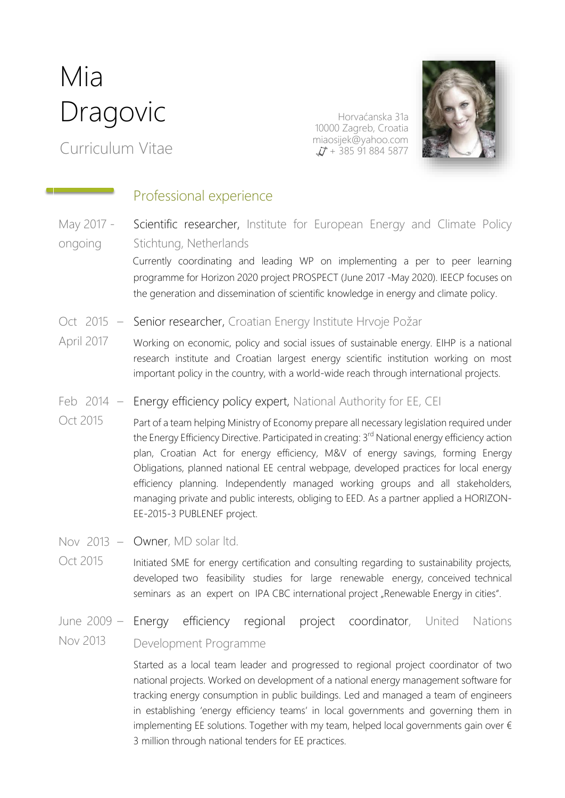# Mia **Dragovic**

Curriculum Vitae

Horvaćanska 31a 10000 Zagreb, Croatia [miaosijek@yahoo.com](mailto:miaosijek@yahoo.com)  $\Delta$  + 385 91 884 5877



#### Professional experience

May 2017 ongoing Scientific researcher, Institute for European Energy and Climate Policy Stichtung, Netherlands

> Currently coordinating and leading WP on implementing a per to peer learning programme for Horizon 2020 project PROSPECT (June 2017 -May 2020). IEECP focuses on the generation and dissemination of scientific knowledge in energy and climate policy.

- Oct 2015 Senior researcher, Croatian Energy Institute Hrvoje Požar
- April 2017 Working on economic, policy and social issues of sustainable energy. EIHP is a national research institute and Croatian largest energy scientific institution working on most important policy in the country, with a world-wide reach through international projects.
- Feb 2014 Energy efficiency policy expert, National Authority for EE, CEI
- Oct 2015 Part of a team helping Ministry of Economy prepare all necessary legislation required under the Energy Efficiency Directive. Participated in creating: 3<sup>rd</sup> National energy efficiency action plan, Croatian Act for energy efficiency, M&V of energy savings, forming Energy Obligations, planned national EE central webpage, developed practices for local energy efficiency planning. Independently managed working groups and all stakeholders, managing private and public interests, obliging to EED. As a partner applied a HORIZON-EE-2015-3 PUBLENEF project.
- Nov 2013 Owner, MD solar ltd.
- Oct 2015 Initiated SME for energy certification and consulting regarding to sustainability projects, developed two feasibility studies for large renewable energy, conceived technical seminars as an expert on IPA CBC international project "Renewable Energy in cities".

### June 2009 – Energy efficiency regional project coordinator, United Nations

#### Nov 2013 Development Programme

Started as a local team leader and progressed to regional project coordinator of two national projects. Worked on development of a national energy management software for tracking energy consumption in public buildings. Led and managed a team of engineers in establishing 'energy efficiency teams' in local governments and governing them in implementing EE solutions. Together with my team, helped local governments gain over  $\epsilon$ 3 million through national tenders for EE practices.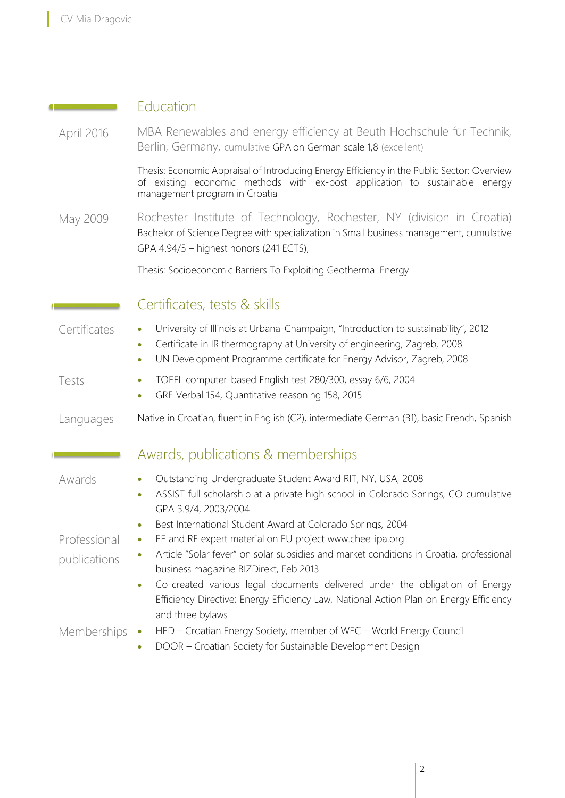**Contract Contract** 

I

Education

| April 2016                   | MBA Renewables and energy efficiency at Beuth Hochschule für Technik,<br>Berlin, Germany, cumulative GPA on German scale 1,8 (excellent)                                                                                                                                                                                                                                                                                                                                                       |  |  |
|------------------------------|------------------------------------------------------------------------------------------------------------------------------------------------------------------------------------------------------------------------------------------------------------------------------------------------------------------------------------------------------------------------------------------------------------------------------------------------------------------------------------------------|--|--|
|                              | Thesis: Economic Appraisal of Introducing Energy Efficiency in the Public Sector: Overview<br>of existing economic methods with ex-post application to sustainable energy<br>management program in Croatia                                                                                                                                                                                                                                                                                     |  |  |
| May 2009                     | Rochester Institute of Technology, Rochester, NY (division in Croatia)<br>Bachelor of Science Degree with specialization in Small business management, cumulative<br>GPA 4.94/5 - highest honors (241 ECTS),                                                                                                                                                                                                                                                                                   |  |  |
|                              | Thesis: Socioeconomic Barriers To Exploiting Geothermal Energy                                                                                                                                                                                                                                                                                                                                                                                                                                 |  |  |
|                              | Certificates, tests & skills                                                                                                                                                                                                                                                                                                                                                                                                                                                                   |  |  |
| Certificates                 | University of Illinois at Urbana-Champaign, "Introduction to sustainability", 2012<br>$\bullet$<br>Certificate in IR thermography at University of engineering, Zagreb, 2008<br>$\bullet$<br>UN Development Programme certificate for Energy Advisor, Zagreb, 2008<br>$\bullet$                                                                                                                                                                                                                |  |  |
| Tests                        | TOEFL computer-based English test 280/300, essay 6/6, 2004<br>$\bullet$<br>GRE Verbal 154, Quantitative reasoning 158, 2015<br>$\bullet$                                                                                                                                                                                                                                                                                                                                                       |  |  |
| Languages                    | Native in Croatian, fluent in English (C2), intermediate German (B1), basic French, Spanish                                                                                                                                                                                                                                                                                                                                                                                                    |  |  |
|                              | Awards, publications & memberships                                                                                                                                                                                                                                                                                                                                                                                                                                                             |  |  |
| Awards                       | Outstanding Undergraduate Student Award RIT, NY, USA, 2008<br>$\bullet$<br>ASSIST full scholarship at a private high school in Colorado Springs, CO cumulative<br>$\bullet$<br>GPA 3.9/4, 2003/2004                                                                                                                                                                                                                                                                                            |  |  |
| Professional<br>publications | Best International Student Award at Colorado Springs, 2004<br>$\bullet$<br>EE and RE expert material on EU project www.chee-ipa.org<br>$\bullet$<br>Article "Solar fever" on solar subsidies and market conditions in Croatia, professional<br>business magazine BIZDirekt, Feb 2013<br>Co-created various legal documents delivered under the obligation of Energy<br>$\bullet$<br>Efficiency Directive; Energy Efficiency Law, National Action Plan on Energy Efficiency<br>and three bylaws |  |  |
| Memberships                  | HED - Croatian Energy Society, member of WEC - World Energy Council<br>$\bullet$<br>DOOR - Croatian Society for Sustainable Development Design                                                                                                                                                                                                                                                                                                                                                 |  |  |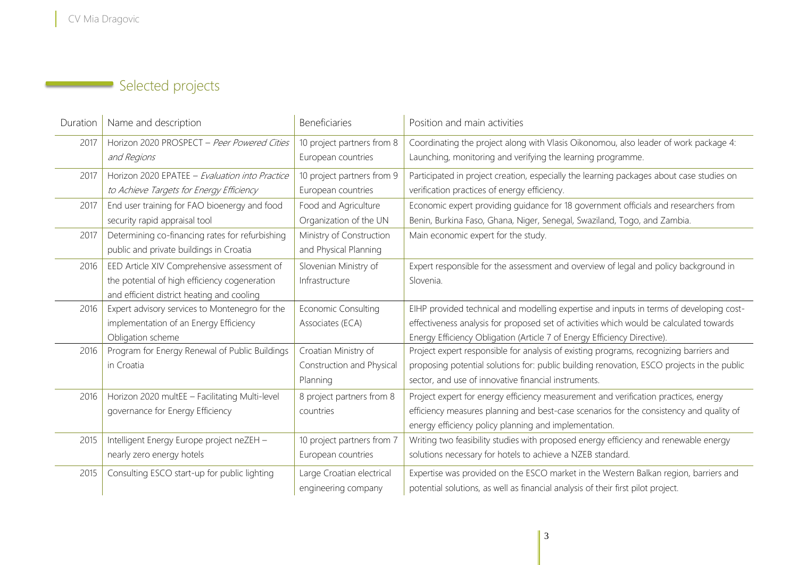## Selected projects

| Duration | Name and description                            | Beneficiaries              | Position and main activities                                                               |
|----------|-------------------------------------------------|----------------------------|--------------------------------------------------------------------------------------------|
| 2017     | Horizon 2020 PROSPECT - Peer Powered Cities     | 10 project partners from 8 | Coordinating the project along with Vlasis Oikonomou, also leader of work package 4:       |
|          | and Regions                                     | European countries         | Launching, monitoring and verifying the learning programme.                                |
| 2017     | Horizon 2020 EPATEE - Evaluation into Practice  | 10 project partners from 9 | Participated in project creation, especially the learning packages about case studies on   |
|          | to Achieve Targets for Energy Efficiency        | European countries         | verification practices of energy efficiency.                                               |
| 2017     | End user training for FAO bioenergy and food    | Food and Agriculture       | Economic expert providing guidance for 18 government officials and researchers from        |
|          | security rapid appraisal tool                   | Organization of the UN     | Benin, Burkina Faso, Ghana, Niger, Senegal, Swaziland, Togo, and Zambia.                   |
| 2017     | Determining co-financing rates for refurbishing | Ministry of Construction   | Main economic expert for the study.                                                        |
|          | public and private buildings in Croatia         | and Physical Planning      |                                                                                            |
| 2016     | EED Article XIV Comprehensive assessment of     | Slovenian Ministry of      | Expert responsible for the assessment and overview of legal and policy background in       |
|          | the potential of high efficiency cogeneration   | Infrastructure             | Slovenia.                                                                                  |
|          | and efficient district heating and cooling      |                            |                                                                                            |
| 2016     | Expert advisory services to Montenegro for the  | <b>Economic Consulting</b> | EIHP provided technical and modelling expertise and inputs in terms of developing cost-    |
|          | implementation of an Energy Efficiency          | Associates (ECA)           | effectiveness analysis for proposed set of activities which would be calculated towards    |
|          | Obligation scheme                               |                            | Energy Efficiency Obligation (Article 7 of Energy Efficiency Directive).                   |
| 2016     | Program for Energy Renewal of Public Buildings  | Croatian Ministry of       | Project expert responsible for analysis of existing programs, recognizing barriers and     |
|          | in Croatia                                      | Construction and Physical  | proposing potential solutions for: public building renovation, ESCO projects in the public |
|          |                                                 | Planning                   | sector, and use of innovative financial instruments.                                       |
| 2016     | Horizon 2020 multEE - Facilitating Multi-level  | 8 project partners from 8  | Project expert for energy efficiency measurement and verification practices, energy        |
|          | governance for Energy Efficiency                | countries                  | efficiency measures planning and best-case scenarios for the consistency and quality of    |
|          |                                                 |                            | energy efficiency policy planning and implementation.                                      |
| 2015     | Intelligent Energy Europe project neZEH -       | 10 project partners from 7 | Writing two feasibility studies with proposed energy efficiency and renewable energy       |
|          | nearly zero energy hotels                       | European countries         | solutions necessary for hotels to achieve a NZEB standard.                                 |
| 2015     | Consulting ESCO start-up for public lighting    | Large Croatian electrical  | Expertise was provided on the ESCO market in the Western Balkan region, barriers and       |
|          |                                                 | engineering company        | potential solutions, as well as financial analysis of their first pilot project.           |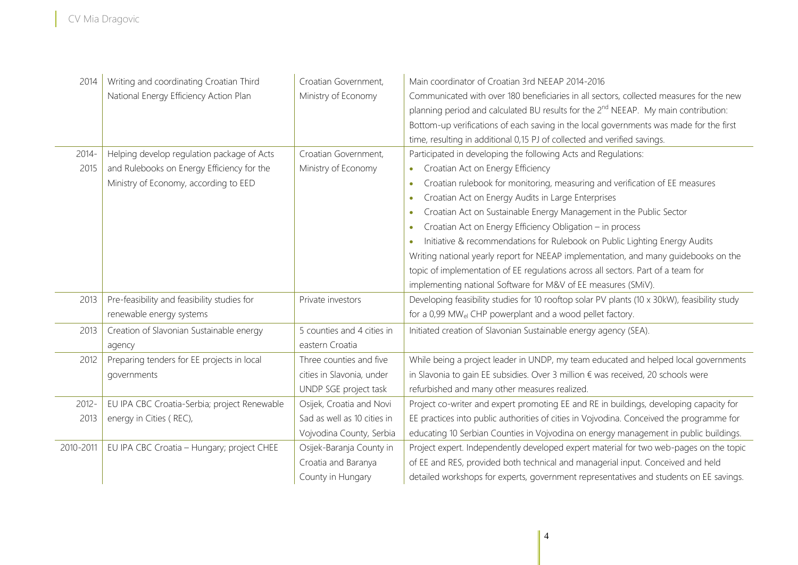| 2014      | Writing and coordinating Croatian Third      | Croatian Government,        | Main coordinator of Croatian 3rd NEEAP 2014-2016                                               |
|-----------|----------------------------------------------|-----------------------------|------------------------------------------------------------------------------------------------|
|           | National Energy Efficiency Action Plan       | Ministry of Economy         | Communicated with over 180 beneficiaries in all sectors, collected measures for the new        |
|           |                                              |                             | planning period and calculated BU results for the 2 <sup>nd</sup> NEEAP. My main contribution: |
|           |                                              |                             | Bottom-up verifications of each saving in the local governments was made for the first         |
|           |                                              |                             | time, resulting in additional 0,15 PJ of collected and verified savings.                       |
| $2014 -$  | Helping develop regulation package of Acts   | Croatian Government,        | Participated in developing the following Acts and Regulations:                                 |
| 2015      | and Rulebooks on Energy Efficiency for the   | Ministry of Economy         | Croatian Act on Energy Efficiency<br>$\bullet$                                                 |
|           | Ministry of Economy, according to EED        |                             | Croatian rulebook for monitoring, measuring and verification of EE measures<br>$\bullet$       |
|           |                                              |                             | Croatian Act on Energy Audits in Large Enterprises<br>$\bullet$                                |
|           |                                              |                             | Croatian Act on Sustainable Energy Management in the Public Sector<br>$\bullet$                |
|           |                                              |                             | Croatian Act on Energy Efficiency Obligation - in process<br>$\bullet$                         |
|           |                                              |                             | Initiative & recommendations for Rulebook on Public Lighting Energy Audits<br>$\bullet$        |
|           |                                              |                             | Writing national yearly report for NEEAP implementation, and many guidebooks on the            |
|           |                                              |                             | topic of implementation of EE regulations across all sectors. Part of a team for               |
|           |                                              |                             | implementing national Software for M&V of EE measures (SMiV).                                  |
| 2013      | Pre-feasibility and feasibility studies for  | Private investors           | Developing feasibility studies for 10 rooftop solar PV plants (10 x 30kW), feasibility study   |
|           | renewable energy systems                     |                             | for a 0,99 MW <sub>el</sub> CHP powerplant and a wood pellet factory.                          |
| 2013      | Creation of Slavonian Sustainable energy     | 5 counties and 4 cities in  | Initiated creation of Slavonian Sustainable energy agency (SEA).                               |
|           | agency                                       | eastern Croatia             |                                                                                                |
| 2012      | Preparing tenders for EE projects in local   | Three counties and five     | While being a project leader in UNDP, my team educated and helped local governments            |
|           | governments                                  | cities in Slavonia, under   | in Slavonia to gain EE subsidies. Over 3 million € was received, 20 schools were               |
|           |                                              | UNDP SGE project task       | refurbished and many other measures realized.                                                  |
| $2012 -$  | EU IPA CBC Croatia-Serbia; project Renewable | Osijek, Croatia and Novi    | Project co-writer and expert promoting EE and RE in buildings, developing capacity for         |
| 2013      | energy in Cities (REC),                      | Sad as well as 10 cities in | EE practices into public authorities of cities in Vojvodina. Conceived the programme for       |
|           |                                              | Vojvodina County, Serbia    | educating 10 Serbian Counties in Vojvodina on energy management in public buildings.           |
| 2010-2011 | EU IPA CBC Croatia - Hungary; project CHEE   | Osijek-Baranja County in    | Project expert. Independently developed expert material for two web-pages on the topic         |
|           |                                              | Croatia and Baranya         | of EE and RES, provided both technical and managerial input. Conceived and held                |
|           |                                              | County in Hungary           | detailed workshops for experts, government representatives and students on EE savings.         |